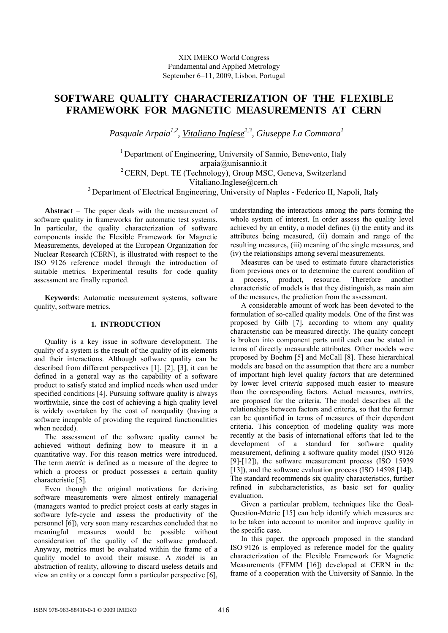XIX IMEKO World Congress Fundamental and Applied Metrology September 6−11, 2009, Lisbon, Portugal

# **SOFTWARE QUALITY CHARACTERIZATION OF THE FLEXIBLE FRAMEWORK FOR MAGNETIC MEASUREMENTS AT CERN**

*Pasquale Arpaia1,2, Vitaliano Inglese2,3, Giuseppe La Commara1*

<sup>1</sup> Department of Engineering, University of Sannio, Benevento, Italy arpaia@unisannio.it <sup>2</sup> CERN, Dept. TE (Technology), Group MSC, Geneva, Switzerland Vitaliano.Inglese@cern.ch <sup>3</sup> Department of Electrical Engineering, University of Naples - Federico II, Napoli, Italy

**Abstract** − The paper deals with the measurement of software quality in frameworks for automatic test systems. In particular, the quality characterization of software components inside the Flexible Framework for Magnetic Measurements, developed at the European Organization for Nuclear Research (CERN), is illustrated with respect to the ISO 9126 reference model through the introduction of suitable metrics. Experimental results for code quality assessment are finally reported.

**Keywords**: Automatic measurement systems, software quality, software metrics.

## **1. INTRODUCTION**

Quality is a key issue in software development. The quality of a system is the result of the quality of its elements and their interactions. Although software quality can be described from different perspectives [1], [2], [3], it can be defined in a general way as the capability of a software product to satisfy stated and implied needs when used under specified conditions [4]. Pursuing software quality is always worthwhile, since the cost of achieving a high quality level is widely overtaken by the cost of nonquality (having a software incapable of providing the required functionalities when needed).

The assessment of the software quality cannot be achieved without defining how to measure it in a quantitative way. For this reason metrics were introduced. The term *metric* is defined as a measure of the degree to which a process or product possesses a certain quality characteristic [5].

Even though the original motivations for deriving software measurements were almost entirely managerial (managers wanted to predict project costs at early stages in software lyfe-cycle and assess the productivity of the personnel [6]), very soon many researches concluded that no meaningful measures would be possible without consideration of the quality of the software produced. Anyway, metrics must be evaluated within the frame of a quality model to avoid their misuse. A *model* is an abstraction of reality, allowing to discard useless details and view an entity or a concept form a particular perspective [6],

understanding the interactions among the parts forming the whole system of interest. In order assess the quality level achieved by an entity, a model defines (i) the entity and its attributes being measured, (ii) domain and range of the resulting measures, (iii) meaning of the single measures, and (iv) the relationships among several measurements.

Measures can be used to estimate future characteristics from previous ones or to determine the current condition of a process, product, resource. Therefore another characteristic of models is that they distinguish, as main aim of the measures, the prediction from the assessment.

A considerable amount of work has been devoted to the formulation of so-called quality models. One of the first was proposed by Gilb [7], according to whom any quality characteristic can be measured directly. The quality concept is broken into component parts until each can be stated in terms of directly measurable attributes. Other models were proposed by Boehm [5] and McCall [8]. These hierarchical models are based on the assumption that there are a number of important high level quality *factors* that are determined by lower level *criteria* supposed much easier to measure than the corresponding factors. Actual measures, *metrics*, are proposed for the criteria. The model describes all the relationships between factors and criteria, so that the former can be quantified in terms of measures of their dependent criteria. This conception of modeling quality was more recently at the basis of international efforts that led to the development of a standard for software quality measurement, defining a software quality model (ISO 9126 [9]-[12]), the software measurement process (ISO 15939 [13]), and the software evaluation process (ISO 14598 [14]). The standard recommends six quality characteristics, further refined in subcharacteristics, as basic set for quality evaluation.

Given a particular problem, techniques like the Goal-Question-Metric [15] can help identify which measures are to be taken into account to monitor and improve quality in the specific case.

In this paper, the approach proposed in the standard ISO 9126 is employed as reference model for the quality characterization of the Flexible Framework for Magnetic Measurements (FFMM [16]) developed at CERN in the frame of a cooperation with the University of Sannio. In the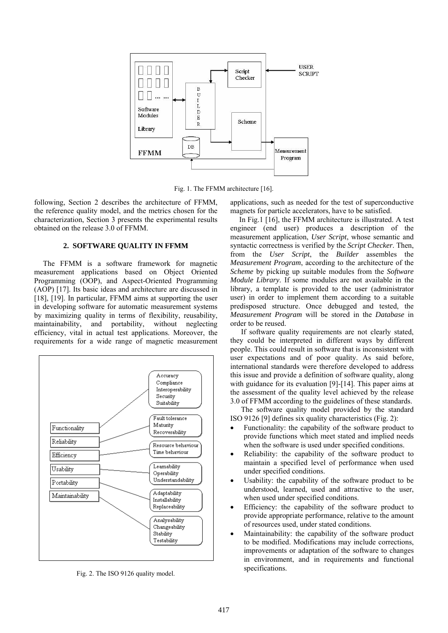

Fig. 1. The FFMM architecture [16].

following, Section 2 describes the architecture of FFMM, the reference quality model, and the metrics chosen for the characterization, Section 3 presents the experimental results obtained on the release 3.0 of FFMM.

# **2. SOFTWARE QUALITY IN FFMM**

The FFMM is a software framework for magnetic measurement applications based on Object Oriented Programming (OOP), and Aspect-Oriented Programming (AOP) [17]. Its basic ideas and architecture are discussed in [18], [19]. In particular, FFMM aims at supporting the user in developing software for automatic measurement systems by maximizing quality in terms of flexibility, reusability, maintainability, and portability, without neglecting efficiency, vital in actual test applications. Moreover, the requirements for a wide range of magnetic measurement



Fig. 2. The ISO 9126 quality model.

applications, such as needed for the test of superconductive magnets for particle accelerators, have to be satisfied.

In Fig.1 [16], the FFMM architecture is illustrated. A test engineer (end user) produces a description of the measurement application, *User Script*, whose semantic and syntactic correctness is verified by the *Script Checker*. Then, from the *User Script*, the *Builder* assembles the *Measurement Program*, according to the architecture of the *Scheme* by picking up suitable modules from the *Software Module Library*. If some modules are not available in the library, a template is provided to the user (administrator user) in order to implement them according to a suitable predisposed structure. Once debugged and tested, the *Measurement Program* will be stored in the *Database* in order to be reused.

If software quality requirements are not clearly stated, they could be interpreted in different ways by different people. This could result in software that is inconsistent with user expectations and of poor quality. As said before, international standards were therefore developed to address this issue and provide a definition of software quality, along with guidance for its evaluation [9]-[14]. This paper aims at the assessment of the quality level achieved by the release 3.0 of FFMM according to the guidelines of these standards.

The software quality model provided by the standard ISO 9126 [9] defines six quality characteristics (Fig. 2):

- Functionality: the capability of the software product to provide functions which meet stated and implied needs when the software is used under specified conditions.
- Reliability: the capability of the software product to maintain a specified level of performance when used under specified conditions.
- Usability: the capability of the software product to be understood, learned, used and attractive to the user, when used under specified conditions.
- Efficiency: the capability of the software product to provide appropriate performance, relative to the amount of resources used, under stated conditions.
- Maintainability: the capability of the software product to be modified. Modifications may include corrections, improvements or adaptation of the software to changes in environment, and in requirements and functional specifications.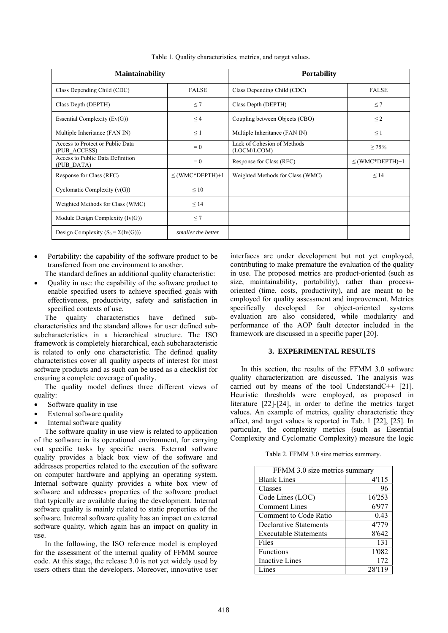| <b>Maintainability</b>                           |                      | <b>Portability</b>                         |                      |  |
|--------------------------------------------------|----------------------|--------------------------------------------|----------------------|--|
| Class Depending Child (CDC)                      | <b>FALSE</b>         | Class Depending Child (CDC)                | <b>FALSE</b>         |  |
| Class Depth (DEPTH)                              | $\leq 7$             | Class Depth (DEPTH)                        | $\leq$ 7             |  |
| Essential Complexity $(Ev(G))$                   | $\leq$ 4             | Coupling between Objects (CBO)             | $\leq$ 2             |  |
| Multiple Inheritance (FAN IN)                    | $\leq$ 1             | Multiple Inheritance (FAN IN)              | $\leq$ 1             |  |
| Access to Protect or Public Data<br>(PUB ACCESS) | $= 0$                | Lack of Cohesion of Methods<br>(LOCM/LCOM) | $\geq 75\%$          |  |
| Access to Public Data Definition<br>(PUB DATA)   | $= 0$                | Response for Class (RFC)                   | $\leq$ (WMC*DEPTH)+1 |  |
| Response for Class (RFC)                         | $\leq$ (WMC*DEPTH)+1 | Weighted Methods for Class (WMC)           | $\leq$ 14            |  |
| Cyclomatic Complexity $(v(G))$                   | $\leq 10$            |                                            |                      |  |
| Weighted Methods for Class (WMC)                 | $\leq$ 14            |                                            |                      |  |
| Module Design Complexity $(Iv(G))$               | $\leq 7$             |                                            |                      |  |
| Design Complexity $(S_0 = \Sigma(Iv(G)))$        | smaller the better   |                                            |                      |  |

Table 1. Quality characteristics, metrics, and target values.

- Portability: the capability of the software product to be transferred from one environment to another.
- The standard defines an additional quality characteristic:
- Quality in use: the capability of the software product to enable specified users to achieve specified goals with effectiveness, productivity, safety and satisfaction in specified contexts of use.

The quality characteristics have defined subcharacteristics and the standard allows for user defined subsubcharacteristics in a hierarchical structure. The ISO framework is completely hierarchical, each subcharacteristic is related to only one characteristic. The defined quality characteristics cover all quality aspects of interest for most software products and as such can be used as a checklist for ensuring a complete coverage of quality.

The quality model defines three different views of quality:

- Software quality in use
- External software quality
- Internal software quality

The software quality in use view is related to application of the software in its operational environment, for carrying out specific tasks by specific users. External software quality provides a black box view of the software and addresses properties related to the execution of the software on computer hardware and applying an operating system. Internal software quality provides a white box view of software and addresses properties of the software product that typically are available during the development. Internal software quality is mainly related to static properties of the software. Internal software quality has an impact on external software quality, which again has an impact on quality in use.

In the following, the ISO reference model is employed for the assessment of the internal quality of FFMM source code. At this stage, the release 3.0 is not yet widely used by users others than the developers. Moreover, innovative user interfaces are under development but not yet employed, contributing to make premature the evaluation of the quality in use. The proposed metrics are product-oriented (such as size, maintainability, portability), rather than processoriented (time, costs, productivity), and are meant to be employed for quality assessment and improvement. Metrics specifically developed for object-oriented systems evaluation are also considered, while modularity and performance of the AOP fault detector included in the framework are discussed in a specific paper [20].

### **3. EXPERIMENTAL RESULTS**

In this section, the results of the FFMM 3.0 software quality characterization are discussed. The analysis was carried out by means of the tool UnderstandC++ [21]. Heuristic thresholds were employed, as proposed in literature [22]-[24], in order to define the metrics target values. An example of metrics, quality characteristic they affect, and target values is reported in Tab. 1 [22], [25]. In particular, the complexity metrics (such as Essential Complexity and Cyclomatic Complexity) measure the logic

Table 2. FFMM 3.0 size metrics summary.

| FFMM 3.0 size metrics summary |        |  |  |  |
|-------------------------------|--------|--|--|--|
| <b>Blank Lines</b>            | 4'115  |  |  |  |
| Classes                       | 96     |  |  |  |
| Code Lines (LOC)              | 16'253 |  |  |  |
| <b>Comment Lines</b>          | 6'977  |  |  |  |
| Comment to Code Ratio         | 0.43   |  |  |  |
| Declarative Statements        | 4'779  |  |  |  |
| <b>Executable Statements</b>  | 8'642  |  |  |  |
| Files                         | 131    |  |  |  |
| <b>Functions</b>              | 1'082  |  |  |  |
| <b>Inactive Lines</b>         | 172    |  |  |  |
| ines                          | 28'119 |  |  |  |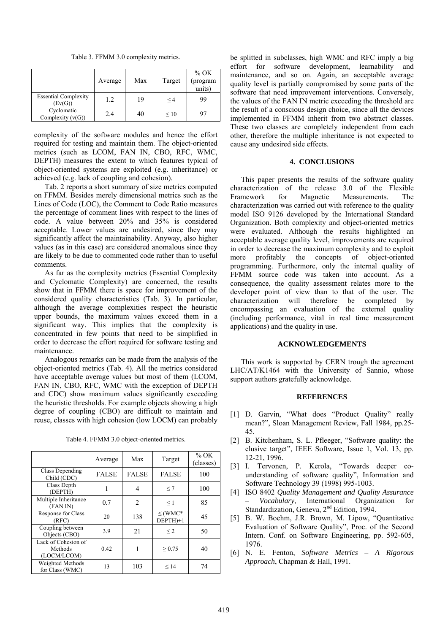Table 3. FFMM 3.0 complexity metrics.

|                                        | Average | Max | Target    | $%$ OK<br>(program<br>units) |
|----------------------------------------|---------|-----|-----------|------------------------------|
| <b>Essential Complexity</b><br>(Ev(G)) | 1.2     | 19  | $\leq 4$  | 99                           |
| Cyclomatic<br>Complexity $(v(G))$      | 2.4     | 40  | $\leq 10$ | 97                           |

complexity of the software modules and hence the effort required for testing and maintain them. The object-oriented metrics (such as LCOM, FAN IN, CBO, RFC, WMC, DEPTH) measures the extent to which features typical of object-oriented systems are exploited (e.g. inheritance) or achieved (e.g. lack of coupling and cohesion).

Tab. 2 reports a short summary of size metrics computed on FFMM. Besides merely dimensional metrics such as the Lines of Code (LOC), the Comment to Code Ratio measures the percentage of comment lines with respect to the lines of code. A value between 20% and 35% is considered acceptable. Lower values are undesired, since they may significantly affect the maintainability. Anyway, also higher values (as in this case) are considered anomalous since they are likely to be due to commented code rather than to useful comments.

As far as the complexity metrics (Essential Complexity and Cyclomatic Complexity) are concerned, the results show that in FFMM there is space for improvement of the considered quality characteristics (Tab. 3). In particular, although the average complexities respect the heuristic upper bounds, the maximum values exceed them in a significant way. This implies that the complexity is concentrated in few points that need to be simplified in order to decrease the effort required for software testing and maintenance.

Analogous remarks can be made from the analysis of the object-oriented metrics (Tab. 4). All the metrics considered have acceptable average values but most of them (LCOM, FAN IN, CBO, RFC, WMC with the exception of DEPTH and CDC) show maximum values significantly exceeding the heuristic thresholds. For example objects showing a high degree of coupling (CBO) are difficult to maintain and reuse, classes with high cohesion (low LOCM) can probably

|                                               | Average      | Max            | Target                    | $\%$ OK<br>(classes) |
|-----------------------------------------------|--------------|----------------|---------------------------|----------------------|
| Class Depending<br>Child (CDC)                | <b>FALSE</b> | <b>FALSE</b>   | <b>FALSE</b>              | 100                  |
| Class Depth<br>(DEPTH)                        |              | 4              | $\leq 7$                  | 100                  |
| Multiple Inheritance<br>(FAN IN)              | 0.7          | $\mathfrak{D}$ | $\leq 1$                  | 85                   |
| Response for Class<br>(RFC)                   | 20           | 138            | $\leq$ (WMC*<br>$DEFTH+1$ | 45                   |
| Coupling between<br>Objects (CBO)             | 3.9          | 21             | $\leq$ 2                  | 50                   |
| Lack of Cohesion of<br>Methods<br>(LOCM/LCOM) | 0.42         |                | > 0.75                    | 40                   |
| Weighted Methods<br>for Class (WMC)           | 13           | 103            | < 14                      | 74                   |

Table 4. FFMM 3.0 object-oriented metrics.

be splitted in subclasses, high WMC and RFC imply a big effort for software development, learnability and maintenance, and so on. Again, an acceptable average quality level is partially compromised by some parts of the software that need improvement interventions. Conversely, the values of the FAN IN metric exceeding the threshold are the result of a conscious design choice, since all the devices implemented in FFMM inherit from two abstract classes. These two classes are completely independent from each other, therefore the multiple inheritance is not expected to cause any undesired side effects.

#### **4. CONCLUSIONS**

This paper presents the results of the software quality characterization of the release 3.0 of the Flexible Framework for Magnetic Measurements. The characterization was carried out with reference to the quality model ISO 9126 developed by the International Standard Organization. Both complexity and object-oriented metrics were evaluated. Although the results highlighted an acceptable average quality level, improvements are required in order to decrease the maximum complexity and to exploit more profitably the concepts of object-oriented programming. Furthermore, only the internal quality of FFMM source code was taken into account. As a consequence, the quality assessment relates more to the developer point of view than to that of the user. The characterization will therefore be completed by encompassing an evaluation of the external quality (including performance, vital in real time measurement applications) and the quality in use.

#### **ACKNOWLEDGEMENTS**

This work is supported by CERN trough the agreement LHC/AT/K1464 with the University of Sannio, whose support authors gratefully acknowledge.

#### **REFERENCES**

- [1] D. Garvin, "What does "Product Quality" really mean?", Sloan Management Review, Fall 1984, pp.25- 45.
- [2] B. Kitchenham, S. L. Pfleeger, "Software quality: the elusive target", IEEE Software, Issue 1, Vol. 13, pp. 12-21, 1996.
- [3] I. Tervonen, P. Kerola, "Towards deeper counderstanding of software quality", Information and Software Technology 39 (1998) 995-1003.
- [4] ISO 8402 *Quality Management and Quality Assurance – Vocabulary*, International Organization for Standardization, Geneva, 2<sup>nd</sup> Edition, 1994.
- [5] B. W. Boehm, J.R. Brown, M. Lipow, "Quantitative Evaluation of Software Quality", Proc. of the Second Intern. Conf. on Software Engineering, pp. 592-605, 1976.
- [6] N. E. Fenton, *Software Metrics A Rigorous Approach*, Chapman & Hall, 1991.